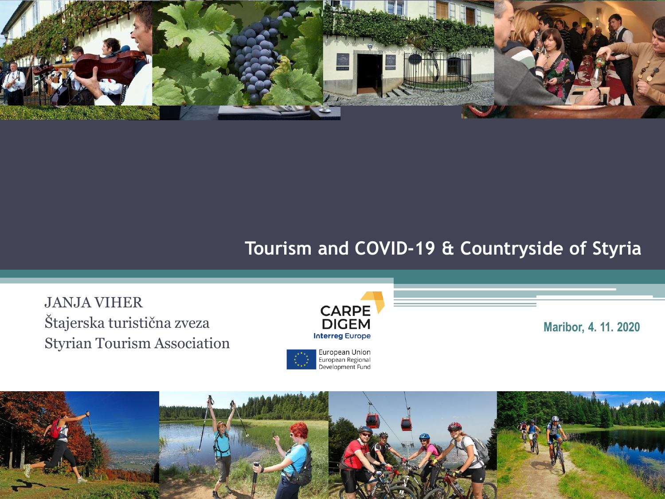

#### **Tourism and COVID-19 & Countryside of Styria**

JANJA VIHER Štajerska turistična zveza Styrian Tourism Association



**Maribor, 4. 11. 2020**

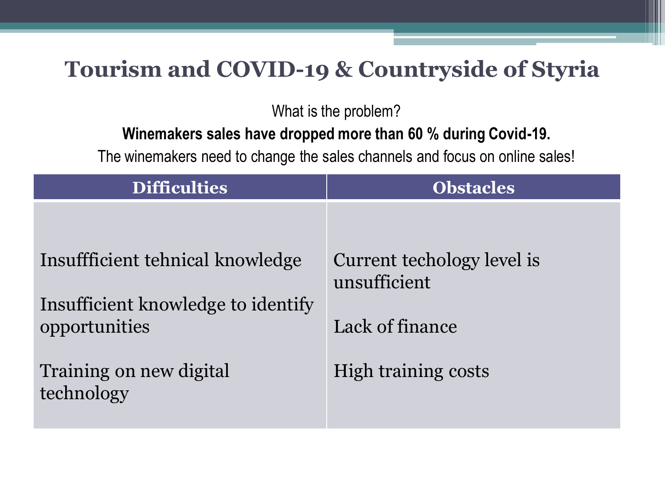## **Tourism and COVID-19 & Countryside of Styria**

What is the problem?

#### **Winemakers sales have dropped more than 60 % during Covid-19.**

The winemakers need to change the sales channels and focus on online sales!

| <b>Difficulties</b>                                 | <b>Obstacles</b>                           |
|-----------------------------------------------------|--------------------------------------------|
|                                                     |                                            |
| Insuffficient tehnical knowledge                    | Current techology level is<br>unsufficient |
| Insufficient knowledge to identify<br>opportunities | Lack of finance                            |
| Training on new digital<br>technology               | High training costs                        |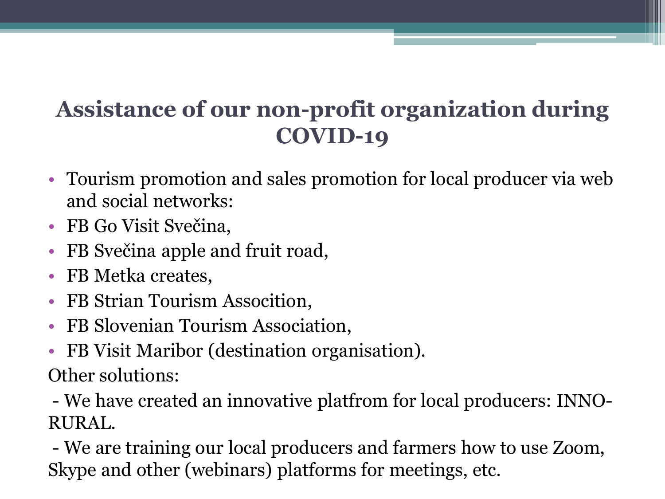# **Assistance of our non-profit organization during COVID-19**

- Tourism promotion and sales promotion for local producer via web and social networks:
- FB Go Visit Svečina,
- FB Svečina apple and fruit road,
- FB Metka creates,
- FB Strian Tourism Assocition,
- FB Slovenian Tourism Association,
- FB Visit Maribor (destination organisation).

Other solutions:

- We have created an innovative platfrom for local producers: INNO-RURAL.

- We are training our local producers and farmers how to use Zoom, Skype and other (webinars) platforms for meetings, etc.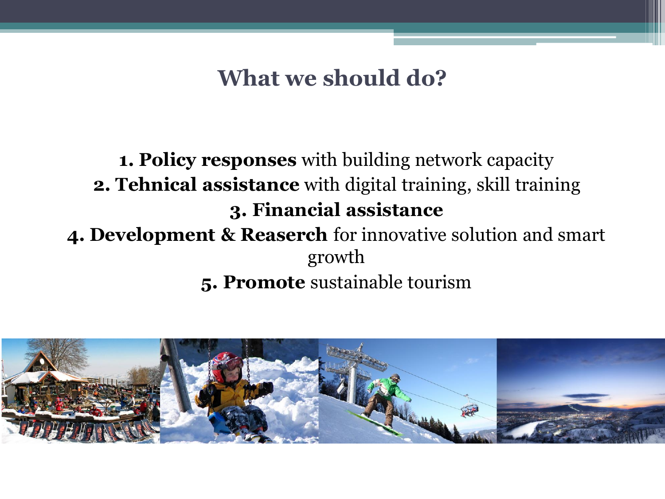**What we should do?**

### **1. Policy responses** with building network capacity **2. Tehnical assistance** with digital training, skill training **3. Financial assistance**

# **4. Development & Reaserch** for innovative solution and smart growth

**5. Promote** sustainable tourism

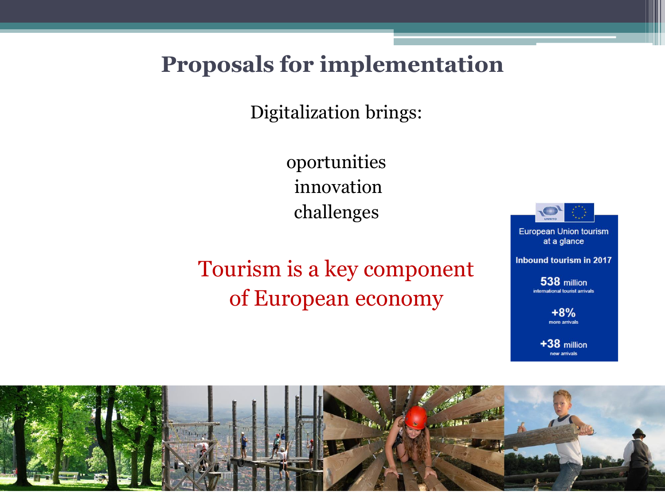### **Proposals for implementation**

Digitalization brings:

oportunities innovation challenges

# Tourism is a key component of European economy